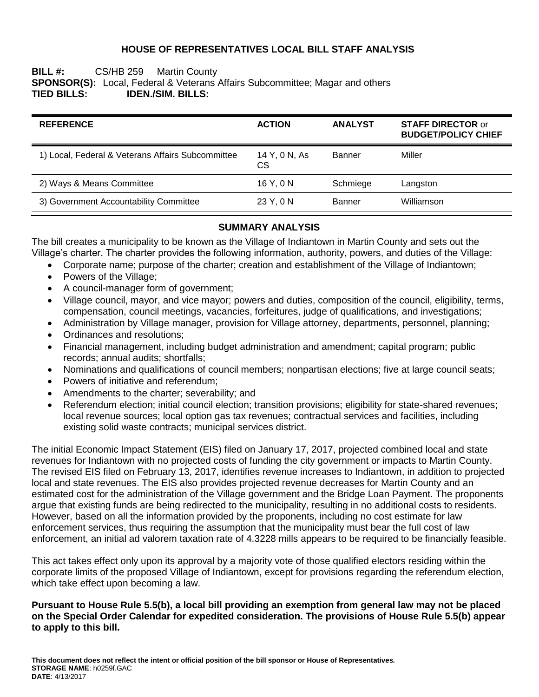# **HOUSE OF REPRESENTATIVES LOCAL BILL STAFF ANALYSIS**

### **BILL #:** CS/HB 259 Martin County **SPONSOR(S):** Local, Federal & Veterans Affairs Subcommittee; Magar and others **TIED BILLS: IDEN./SIM. BILLS:**

| <b>REFERENCE</b>                                  | <b>ACTION</b>       | <b>ANALYST</b> | <b>STAFF DIRECTOR or</b><br><b>BUDGET/POLICY CHIEF</b> |  |
|---------------------------------------------------|---------------------|----------------|--------------------------------------------------------|--|
| 1) Local, Federal & Veterans Affairs Subcommittee | 14 Y, 0 N, As<br>CS | Banner         | Miller                                                 |  |
| 2) Ways & Means Committee                         | 16 Y, 0 N           | Schmiege       | Langston                                               |  |
| 3) Government Accountability Committee            | 23 Y, 0 N           | Banner         | Williamson                                             |  |

### **SUMMARY ANALYSIS**

The bill creates a municipality to be known as the Village of Indiantown in Martin County and sets out the Village's charter. The charter provides the following information, authority, powers, and duties of the Village:

- Corporate name; purpose of the charter; creation and establishment of the Village of Indiantown;
- Powers of the Village;
- A council-manager form of government;
- Village council, mayor, and vice mayor; powers and duties, composition of the council, eligibility, terms, compensation, council meetings, vacancies, forfeitures, judge of qualifications, and investigations;
- Administration by Village manager, provision for Village attorney, departments, personnel, planning;
- Ordinances and resolutions;
- Financial management, including budget administration and amendment; capital program; public records; annual audits; shortfalls;
- Nominations and qualifications of council members; nonpartisan elections; five at large council seats;
- Powers of initiative and referendum;
- Amendments to the charter; severability; and
- Referendum election; initial council election; transition provisions; eligibility for state-shared revenues; local revenue sources; local option gas tax revenues; contractual services and facilities, including existing solid waste contracts; municipal services district.

The initial Economic Impact Statement (EIS) filed on January 17, 2017, projected combined local and state revenues for Indiantown with no projected costs of funding the city government or impacts to Martin County. The revised EIS filed on February 13, 2017, identifies revenue increases to Indiantown, in addition to projected local and state revenues. The EIS also provides projected revenue decreases for Martin County and an estimated cost for the administration of the Village government and the Bridge Loan Payment. The proponents argue that existing funds are being redirected to the municipality, resulting in no additional costs to residents. However, based on all the information provided by the proponents, including no cost estimate for law enforcement services, thus requiring the assumption that the municipality must bear the full cost of law enforcement, an initial ad valorem taxation rate of 4.3228 mills appears to be required to be financially feasible.

This act takes effect only upon its approval by a majority vote of those qualified electors residing within the corporate limits of the proposed Village of Indiantown, except for provisions regarding the referendum election, which take effect upon becoming a law.

### **Pursuant to House Rule 5.5(b), a local bill providing an exemption from general law may not be placed on the Special Order Calendar for expedited consideration. The provisions of House Rule 5.5(b) appear to apply to this bill.**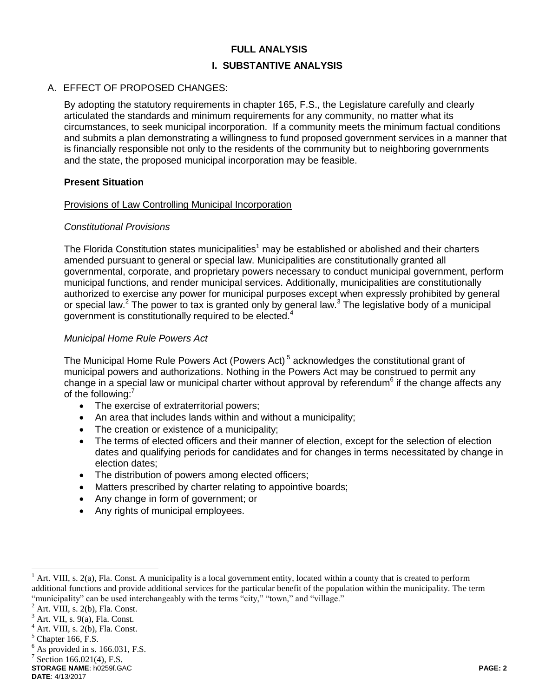### **FULL ANALYSIS**

#### **I. SUBSTANTIVE ANALYSIS**

#### A. EFFECT OF PROPOSED CHANGES:

By adopting the statutory requirements in chapter 165, F.S., the Legislature carefully and clearly articulated the standards and minimum requirements for any community, no matter what its circumstances, to seek municipal incorporation. If a community meets the minimum factual conditions and submits a plan demonstrating a willingness to fund proposed government services in a manner that is financially responsible not only to the residents of the community but to neighboring governments and the state, the proposed municipal incorporation may be feasible.

#### **Present Situation**

#### Provisions of Law Controlling Municipal Incorporation

### *Constitutional Provisions*

The Florida Constitution states municipalities<sup>1</sup> may be established or abolished and their charters amended pursuant to general or special law. Municipalities are constitutionally granted all governmental, corporate, and proprietary powers necessary to conduct municipal government, perform municipal functions, and render municipal services. Additionally, municipalities are constitutionally authorized to exercise any power for municipal purposes except when expressly prohibited by general or special law.<sup>2</sup> The power to tax is granted only by general law.<sup>3</sup> The legislative body of a municipal government is constitutionally required to be elected.<sup>4</sup>

### *Municipal Home Rule Powers Act*

The Municipal Home Rule Powers Act (Powers Act)<sup>5</sup> acknowledges the constitutional grant of municipal powers and authorizations. Nothing in the Powers Act may be construed to permit any change in a special law or municipal charter without approval by referendum<sup>6</sup> if the change affects any of the following:<sup>7</sup>

- The exercise of extraterritorial powers;
- An area that includes lands within and without a municipality;
- The creation or existence of a municipality;
- The terms of elected officers and their manner of election, except for the selection of election dates and qualifying periods for candidates and for changes in terms necessitated by change in election dates;
- The distribution of powers among elected officers;
- Matters prescribed by charter relating to appointive boards;
- Any change in form of government; or
- Any rights of municipal employees.

 $<sup>1</sup>$  Art. VIII, s. 2(a), Fla. Const. A municipality is a local government entity, located within a county that is created to perform</sup> additional functions and provide additional services for the particular benefit of the population within the municipality. The term "municipality" can be used interchangeably with the terms "city," "town," and "village."

 $2$  Art. VIII, s. 2(b), Fla. Const.

 $3$  Art. VII, s. 9(a), Fla. Const.

 $<sup>4</sup>$  Art. VIII, s. 2(b), Fla. Const.</sup>

 $<sup>5</sup>$  Chapter 166, F.S.</sup>

 $<sup>6</sup>$  As provided in s. 166.031, F.S.</sup>

 $7$  Section 166.021(4), F.S.

**STORAGE NAME**: h0259f.GAC **PAGE: 2**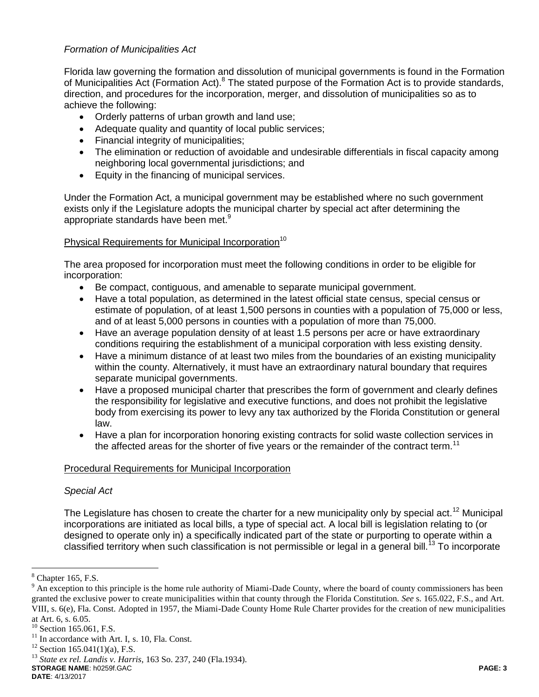# *Formation of Municipalities Act*

Florida law governing the formation and dissolution of municipal governments is found in the Formation of Municipalities Act (Formation Act).<sup>8</sup> The stated purpose of the Formation Act is to provide standards, direction, and procedures for the incorporation, merger, and dissolution of municipalities so as to achieve the following:

- Orderly patterns of urban growth and land use;
- Adequate quality and quantity of local public services;
- Financial integrity of municipalities;
- The elimination or reduction of avoidable and undesirable differentials in fiscal capacity among neighboring local governmental jurisdictions; and
- Equity in the financing of municipal services.

Under the Formation Act, a municipal government may be established where no such government exists only if the Legislature adopts the municipal charter by special act after determining the appropriate standards have been met.<sup>9</sup>

# Physical Requirements for Municipal Incorporation<sup>10</sup>

The area proposed for incorporation must meet the following conditions in order to be eligible for incorporation:

- Be compact, contiguous, and amenable to separate municipal government.
- Have a total population, as determined in the latest official state census, special census or estimate of population, of at least 1,500 persons in counties with a population of 75,000 or less, and of at least 5,000 persons in counties with a population of more than 75,000.
- Have an average population density of at least 1.5 persons per acre or have extraordinary conditions requiring the establishment of a municipal corporation with less existing density.
- Have a minimum distance of at least two miles from the boundaries of an existing municipality within the county. Alternatively, it must have an extraordinary natural boundary that requires separate municipal governments.
- Have a proposed municipal charter that prescribes the form of government and clearly defines the responsibility for legislative and executive functions, and does not prohibit the legislative body from exercising its power to levy any tax authorized by the Florida Constitution or general law.
- Have a plan for incorporation honoring existing contracts for solid waste collection services in the affected areas for the shorter of five years or the remainder of the contract term.<sup>11</sup>

# Procedural Requirements for Municipal Incorporation

# *Special Act*

The Legislature has chosen to create the charter for a new municipality only by special act.<sup>12</sup> Municipal incorporations are initiated as local bills, a type of special act. A local bill is legislation relating to (or designed to operate only in) a specifically indicated part of the state or purporting to operate within a classified territory when such classification is not permissible or legal in a general bill.<sup>13</sup> To incorporate

 $\overline{a}$ 

**STORAGE NAME**: h0259f.GAC **PAGE: 3**

 $8$  Chapter 165, F.S.

 $9$  An exception to this principle is the home rule authority of Miami-Dade County, where the board of county commissioners has been granted the exclusive power to create municipalities within that county through the Florida Constitution. *See* s. 165.022, F.S., and Art. VIII, s. 6(e), Fla. Const. Adopted in 1957, the Miami-Dade County Home Rule Charter provides for the creation of new municipalities at Art. 6, s. 6.05.

 $10$  Section 165.061, F.S.

 $11$  In accordance with Art. I, s. 10, Fla. Const.

 $12$  Section 165.041(1)(a), F.S.

<sup>13</sup> *State ex rel. Landis v. Harris*, 163 So. 237, 240 (Fla.1934).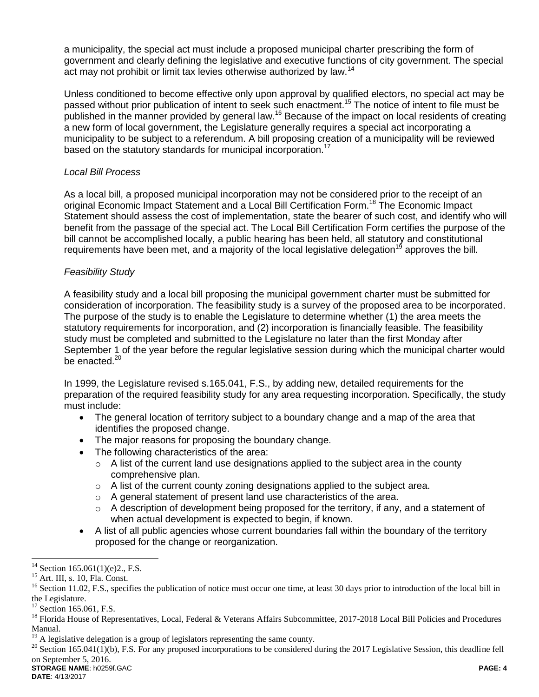a municipality, the special act must include a proposed municipal charter prescribing the form of government and clearly defining the legislative and executive functions of city government. The special act may not prohibit or limit tax levies otherwise authorized by law.<sup>14</sup>

Unless conditioned to become effective only upon approval by qualified electors, no special act may be passed without prior publication of intent to seek such enactment.<sup>15</sup> The notice of intent to file must be published in the manner provided by general law.<sup>16</sup> Because of the impact on local residents of creating a new form of local government, the Legislature generally requires a special act incorporating a municipality to be subject to a referendum. A bill proposing creation of a municipality will be reviewed based on the statutory standards for municipal incorporation.<sup>17</sup>

# *Local Bill Process*

As a local bill, a proposed municipal incorporation may not be considered prior to the receipt of an original Economic Impact Statement and a Local Bill Certification Form.<sup>18</sup> The Economic Impact Statement should assess the cost of implementation, state the bearer of such cost, and identify who will benefit from the passage of the special act. The Local Bill Certification Form certifies the purpose of the bill cannot be accomplished locally, a public hearing has been held, all statutory and constitutional requirements have been met, and a majority of the local legislative delegation<sup>19</sup> approves the bill.

# *Feasibility Study*

A feasibility study and a local bill proposing the municipal government charter must be submitted for consideration of incorporation. The feasibility study is a survey of the proposed area to be incorporated. The purpose of the study is to enable the Legislature to determine whether (1) the area meets the statutory requirements for incorporation, and (2) incorporation is financially feasible. The feasibility study must be completed and submitted to the Legislature no later than the first Monday after September 1 of the year before the regular legislative session during which the municipal charter would be enacted. $20$ 

In 1999, the Legislature revised s.165.041, F.S., by adding new, detailed requirements for the preparation of the required feasibility study for any area requesting incorporation. Specifically, the study must include:

- The general location of territory subject to a boundary change and a map of the area that identifies the proposed change.
- The major reasons for proposing the boundary change.
- The following characteristics of the area:
	- $\circ$  A list of the current land use designations applied to the subject area in the county comprehensive plan.
	- $\circ$  A list of the current county zoning designations applied to the subject area.
	- o A general statement of present land use characteristics of the area.
	- o A description of development being proposed for the territory, if any, and a statement of when actual development is expected to begin, if known.
- A list of all public agencies whose current boundaries fall within the boundary of the territory proposed for the change or reorganization.

 $14$  Section 165.061(1)(e)2., F.S.

<sup>15</sup> Art. III, s. 10, Fla. Const.

<sup>&</sup>lt;sup>16</sup> Section 11.02, F.S., specifies the publication of notice must occur one time, at least 30 days prior to introduction of the local bill in the Legislature.

<sup>&</sup>lt;sup>17</sup> Section 165.061, F.S.

<sup>&</sup>lt;sup>18</sup> Florida House of Representatives, Local, Federal & Veterans Affairs Subcommittee, 2017-2018 Local Bill Policies and Procedures Manual.

<sup>&</sup>lt;sup>19</sup> A legislative delegation is a group of legislators representing the same county.

**STORAGE NAME**: h0259f.GAC **PAGE: 4**  $^{20}$  Section 165.041(1)(b), F.S. For any proposed incorporations to be considered during the 2017 Legislative Session, this deadline fell on September 5, 2016.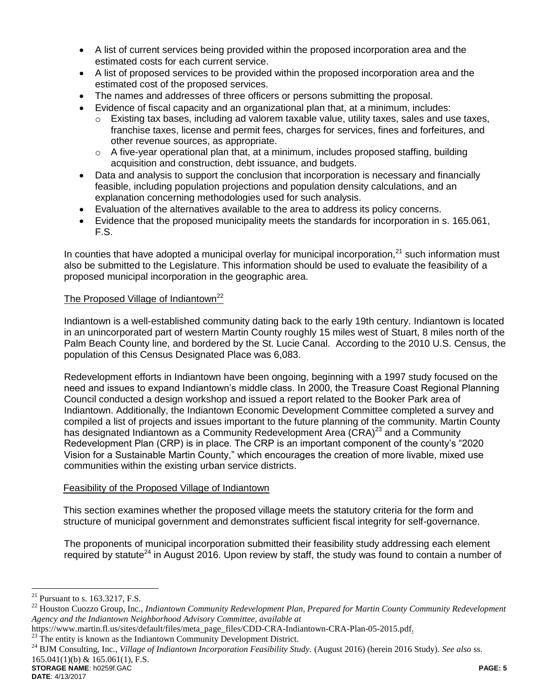- A list of current services being provided within the proposed incorporation area and the estimated costs for each current service.
- A list of proposed services to be provided within the proposed incorporation area and the estimated cost of the proposed services.
- The names and addresses of three officers or persons submitting the proposal.
- Evidence of fiscal capacity and an organizational plan that, at a minimum, includes:
	- Existing tax bases, including ad valorem taxable value, utility taxes, sales and use taxes, franchise taxes, license and permit fees, charges for services, fines and forfeitures, and other revenue sources, as appropriate.
	- $\circ$  A five-year operational plan that, at a minimum, includes proposed staffing, building acquisition and construction, debt issuance, and budgets.
- Data and analysis to support the conclusion that incorporation is necessary and financially feasible, including population projections and population density calculations, and an explanation concerning methodologies used for such analysis.
- Evaluation of the alternatives available to the area to address its policy concerns.
- Evidence that the proposed municipality meets the standards for incorporation in s. 165.061, F.S.

In counties that have adopted a municipal overlay for municipal incorporation, $21$  such information must also be submitted to the Legislature. This information should be used to evaluate the feasibility of a proposed municipal incorporation in the geographic area.

# The Proposed Village of Indiantown<sup>22</sup>

Indiantown is a well-established community dating back to the early 19th century. Indiantown is located in an unincorporated part of western Martin County roughly 15 miles west of Stuart, 8 miles north of the Palm Beach County line, and bordered by the St. Lucie Canal. According to the 2010 U.S. Census, the population of this Census Designated Place was 6,083.

Redevelopment efforts in Indiantown have been ongoing, beginning with a 1997 study focused on the need and issues to expand Indiantown's middle class. In 2000, the Treasure Coast Regional Planning Council conducted a design workshop and issued a report related to the Booker Park area of Indiantown. Additionally, the Indiantown Economic Development Committee completed a survey and compiled a list of projects and issues important to the future planning of the community. Martin County has designated Indiantown as a Community Redevelopment Area  $(CRA)^{23}$  and a Community Redevelopment Plan (CRP) is in place. The CRP is an important component of the county's "2020 Vision for a Sustainable Martin County," which encourages the creation of more livable, mixed use communities within the existing urban service districts.

#### Feasibility of the Proposed Village of Indiantown

This section examines whether the proposed village meets the statutory criteria for the form and structure of municipal government and demonstrates sufficient fiscal integrity for self-governance.

The proponents of municipal incorporation submitted their feasibility study addressing each element required by statute<sup>24</sup> in August 2016. Upon review by staff, the study was found to contain a number of

**STORAGE NAME**: h0259f.GAC **PAGE: 5** <sup>24</sup> BJM Consulting, Inc., *Village of Indiantown Incorporation Feasibility Study*. (August 2016) (herein 2016 Study). *See also* ss.  $165.041(1)$ (b) &  $165.061(1)$ , F.S.

<sup>&</sup>lt;sup>21</sup> Pursuant to s. 163.3217, F.S.

<sup>22</sup> Houston Cuozzo Group, Inc., *Indiantown Community Redevelopment Plan, Prepared for Martin County Community Redevelopment Agency and the Indiantown Neighborhood Advisory Committee, available at* 

https://www.martin.fl.us/sites/default/files/meta\_page\_files/CDD-CRA-Indiantown-CRA-Plan-05-2015.pdf.

<sup>&</sup>lt;sup>23</sup> The entity is known as the Indiantown Community Development District.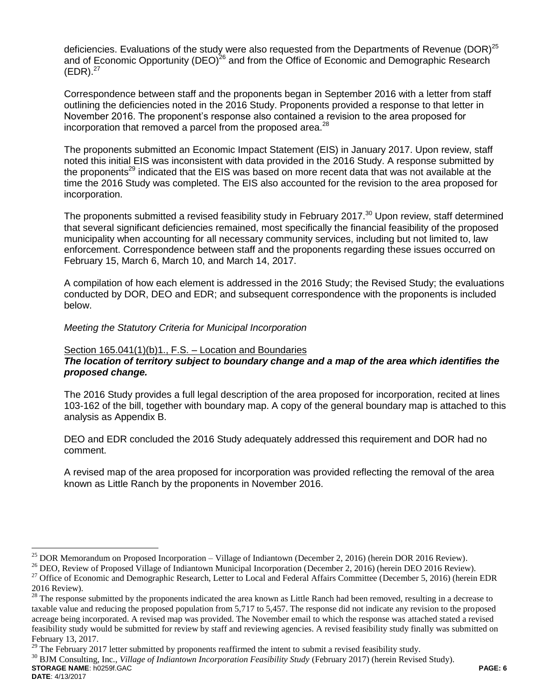deficiencies. Evaluations of the study were also requested from the Departments of Revenue (DOR)<sup>25</sup> and of Economic Opportunity (DEO)<sup>26</sup> and from the Office of Economic and Demographic Research  $(EDR).^{27}$ 

Correspondence between staff and the proponents began in September 2016 with a letter from staff outlining the deficiencies noted in the 2016 Study. Proponents provided a response to that letter in November 2016. The proponent's response also contained a revision to the area proposed for incorporation that removed a parcel from the proposed area. $^{28}$ 

The proponents submitted an Economic Impact Statement (EIS) in January 2017. Upon review, staff noted this initial EIS was inconsistent with data provided in the 2016 Study. A response submitted by the proponents<sup>29</sup> indicated that the EIS was based on more recent data that was not available at the time the 2016 Study was completed. The EIS also accounted for the revision to the area proposed for incorporation.

The proponents submitted a revised feasibility study in February 2017.<sup>30</sup> Upon review, staff determined that several significant deficiencies remained, most specifically the financial feasibility of the proposed municipality when accounting for all necessary community services, including but not limited to, law enforcement. Correspondence between staff and the proponents regarding these issues occurred on February 15, March 6, March 10, and March 14, 2017.

A compilation of how each element is addressed in the 2016 Study; the Revised Study; the evaluations conducted by DOR, DEO and EDR; and subsequent correspondence with the proponents is included below.

### *Meeting the Statutory Criteria for Municipal Incorporation*

### Section 165.041(1)(b)1., F.S. – Location and Boundaries

# *The location of territory subject to boundary change and a map of the area which identifies the proposed change.*

The 2016 Study provides a full legal description of the area proposed for incorporation, recited at lines 103-162 of the bill, together with boundary map. A copy of the general boundary map is attached to this analysis as Appendix B.

DEO and EDR concluded the 2016 Study adequately addressed this requirement and DOR had no comment.

A revised map of the area proposed for incorporation was provided reflecting the removal of the area known as Little Ranch by the proponents in November 2016.

 $^{26}$  DEO, Review of Proposed Village of Indiantown Municipal Incorporation (December 2, 2016) (herein DEO 2016 Review).

**STORAGE NAME**: h0259f.GAC **PAGE: 6** <sup>30</sup> BJM Consulting, Inc., *Village of Indiantown Incorporation Feasibility Study* (February 2017) (herein Revised Study).

<sup>&</sup>lt;sup>25</sup> DOR Memorandum on Proposed Incorporation – Village of Indiantown (December 2, 2016) (herein DOR 2016 Review).

<sup>&</sup>lt;sup>27</sup> Office of Economic and Demographic Research, Letter to Local and Federal Affairs Committee (December 5, 2016) (herein EDR 2016 Review).

<sup>28</sup> The response submitted by the proponents indicated the area known as Little Ranch had been removed, resulting in a decrease to taxable value and reducing the proposed population from 5,717 to 5,457. The response did not indicate any revision to the proposed acreage being incorporated. A revised map was provided. The November email to which the response was attached stated a revised feasibility study would be submitted for review by staff and reviewing agencies. A revised feasibility study finally was submitted on February 13, 2017.

<sup>&</sup>lt;sup>29</sup> The February 2017 letter submitted by proponents reaffirmed the intent to submit a revised feasibility study.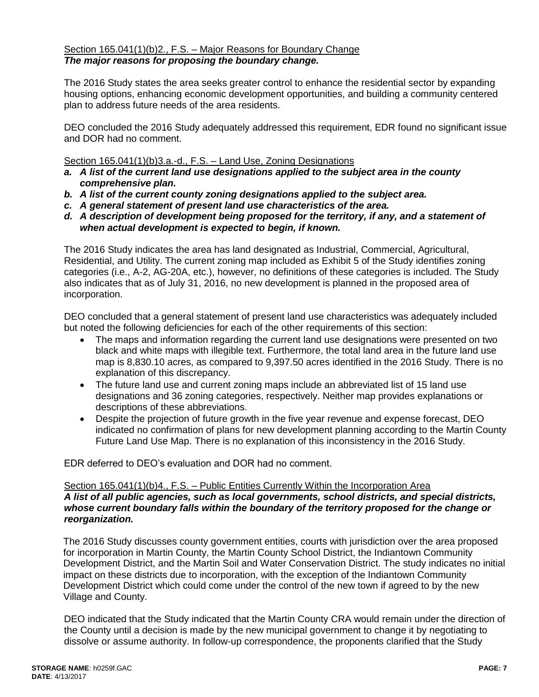# Section 165.041(1)(b)2., F.S. – Major Reasons for Boundary Change *The major reasons for proposing the boundary change.*

The 2016 Study states the area seeks greater control to enhance the residential sector by expanding housing options, enhancing economic development opportunities, and building a community centered plan to address future needs of the area residents.

DEO concluded the 2016 Study adequately addressed this requirement, EDR found no significant issue and DOR had no comment.

### Section 165.041(1)(b)3.a.-d., F.S. – Land Use, Zoning Designations

- *a. A list of the current land use designations applied to the subject area in the county comprehensive plan.*
- *b. A list of the current county zoning designations applied to the subject area.*
- *c. A general statement of present land use characteristics of the area.*
- *d. A description of development being proposed for the territory, if any, and a statement of when actual development is expected to begin, if known.*

The 2016 Study indicates the area has land designated as Industrial, Commercial, Agricultural, Residential, and Utility. The current zoning map included as Exhibit 5 of the Study identifies zoning categories (i.e., A-2, AG-20A, etc.), however, no definitions of these categories is included. The Study also indicates that as of July 31, 2016, no new development is planned in the proposed area of incorporation.

DEO concluded that a general statement of present land use characteristics was adequately included but noted the following deficiencies for each of the other requirements of this section:

- The maps and information regarding the current land use designations were presented on two black and white maps with illegible text. Furthermore, the total land area in the future land use map is 8,830.10 acres, as compared to 9,397.50 acres identified in the 2016 Study. There is no explanation of this discrepancy.
- The future land use and current zoning maps include an abbreviated list of 15 land use designations and 36 zoning categories, respectively. Neither map provides explanations or descriptions of these abbreviations.
- Despite the projection of future growth in the five year revenue and expense forecast, DEO indicated no confirmation of plans for new development planning according to the Martin County Future Land Use Map. There is no explanation of this inconsistency in the 2016 Study.

EDR deferred to DEO's evaluation and DOR had no comment.

### Section 165.041(1)(b)4., F.S. - Public Entities Currently Within the Incorporation Area *A list of all public agencies, such as local governments, school districts, and special districts, whose current boundary falls within the boundary of the territory proposed for the change or reorganization.*

The 2016 Study discusses county government entities, courts with jurisdiction over the area proposed for incorporation in Martin County, the Martin County School District, the Indiantown Community Development District, and the Martin Soil and Water Conservation District. The study indicates no initial impact on these districts due to incorporation, with the exception of the Indiantown Community Development District which could come under the control of the new town if agreed to by the new Village and County.

DEO indicated that the Study indicated that the Martin County CRA would remain under the direction of the County until a decision is made by the new municipal government to change it by negotiating to dissolve or assume authority. In follow-up correspondence, the proponents clarified that the Study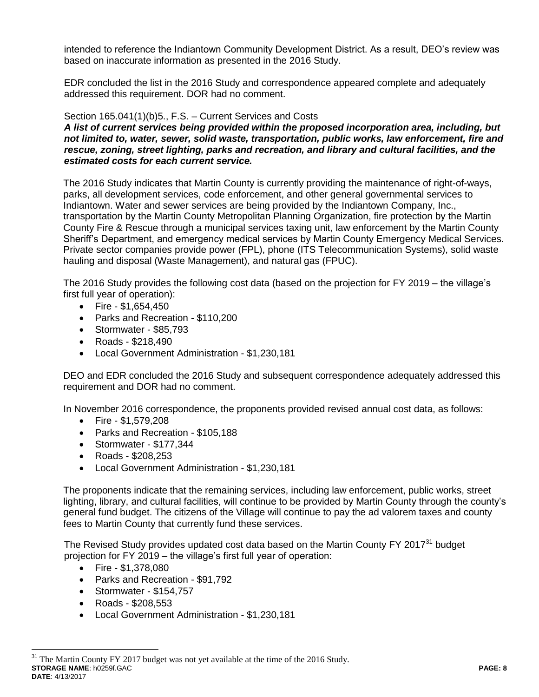intended to reference the Indiantown Community Development District. As a result, DEO's review was based on inaccurate information as presented in the 2016 Study.

EDR concluded the list in the 2016 Study and correspondence appeared complete and adequately addressed this requirement. DOR had no comment.

# Section 165.041(1)(b)5., F.S. – Current Services and Costs

*A list of current services being provided within the proposed incorporation area, including, but not limited to, water, sewer, solid waste, transportation, public works, law enforcement, fire and rescue, zoning, street lighting, parks and recreation, and library and cultural facilities, and the estimated costs for each current service.*

The 2016 Study indicates that Martin County is currently providing the maintenance of right-of-ways, parks, all development services, code enforcement, and other general governmental services to Indiantown. Water and sewer services are being provided by the Indiantown Company, Inc., transportation by the Martin County Metropolitan Planning Organization, fire protection by the Martin County Fire & Rescue through a municipal services taxing unit, law enforcement by the Martin County Sheriff's Department, and emergency medical services by Martin County Emergency Medical Services. Private sector companies provide power (FPL), phone (ITS Telecommunication Systems), solid waste hauling and disposal (Waste Management), and natural gas (FPUC).

The 2016 Study provides the following cost data (based on the projection for FY 2019 – the village's first full year of operation):

- $\bullet$  Fire \$1,654,450
- Parks and Recreation \$110,200
- Stormwater \$85,793
- Roads \$218,490
- Local Government Administration \$1,230,181

DEO and EDR concluded the 2016 Study and subsequent correspondence adequately addressed this requirement and DOR had no comment.

In November 2016 correspondence, the proponents provided revised annual cost data, as follows:

- Fire \$1,579,208
- Parks and Recreation \$105,188
- Stormwater \$177,344
- Roads \$208,253
- Local Government Administration \$1,230,181

The proponents indicate that the remaining services, including law enforcement, public works, street lighting, library, and cultural facilities, will continue to be provided by Martin County through the county's general fund budget. The citizens of the Village will continue to pay the ad valorem taxes and county fees to Martin County that currently fund these services.

The Revised Study provides updated cost data based on the Martin County FY 2017<sup>31</sup> budget projection for FY 2019 – the village's first full year of operation:

- Fire \$1,378,080
- Parks and Recreation \$91,792
- Stormwater \$154,757
- Roads \$208,553

 $\overline{a}$ 

Local Government Administration - \$1,230,181

**STORAGE NAME**: h0259f.GAC **PAGE: 8 DATE**: 4/13/2017  $31$  The Martin County FY 2017 budget was not yet available at the time of the 2016 Study.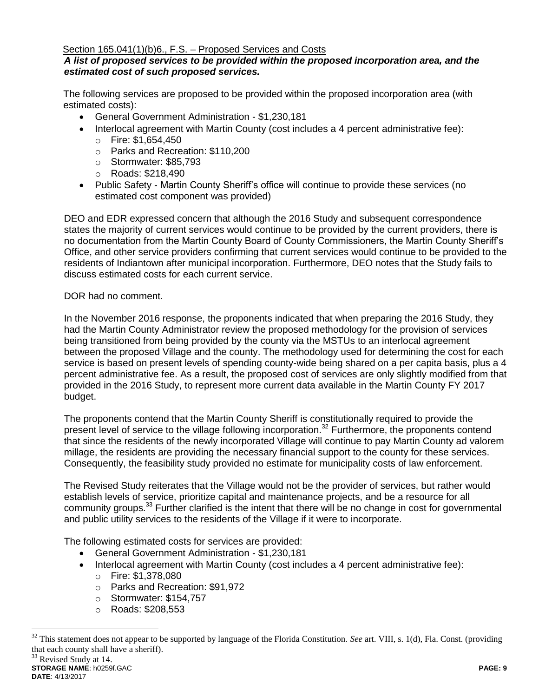### Section 165.041(1)(b)6., F.S. – Proposed Services and Costs

# *A list of proposed services to be provided within the proposed incorporation area, and the estimated cost of such proposed services.*

The following services are proposed to be provided within the proposed incorporation area (with estimated costs):

- General Government Administration \$1,230,181
- Interlocal agreement with Martin County (cost includes a 4 percent administrative fee): o Fire: \$1,654,450
	- o Parks and Recreation: \$110,200
	- o Stormwater: \$85,793
	- o Roads: \$218,490
- Public Safety Martin County Sheriff's office will continue to provide these services (no estimated cost component was provided)

DEO and EDR expressed concern that although the 2016 Study and subsequent correspondence states the majority of current services would continue to be provided by the current providers, there is no documentation from the Martin County Board of County Commissioners, the Martin County Sheriff's Office, and other service providers confirming that current services would continue to be provided to the residents of Indiantown after municipal incorporation. Furthermore, DEO notes that the Study fails to discuss estimated costs for each current service.

### DOR had no comment.

In the November 2016 response, the proponents indicated that when preparing the 2016 Study, they had the Martin County Administrator review the proposed methodology for the provision of services being transitioned from being provided by the county via the MSTUs to an interlocal agreement between the proposed Village and the county. The methodology used for determining the cost for each service is based on present levels of spending county-wide being shared on a per capita basis, plus a 4 percent administrative fee. As a result, the proposed cost of services are only slightly modified from that provided in the 2016 Study, to represent more current data available in the Martin County FY 2017 budget.

The proponents contend that the Martin County Sheriff is constitutionally required to provide the present level of service to the village following incorporation.<sup>32</sup> Furthermore, the proponents contend that since the residents of the newly incorporated Village will continue to pay Martin County ad valorem millage, the residents are providing the necessary financial support to the county for these services. Consequently, the feasibility study provided no estimate for municipality costs of law enforcement.

The Revised Study reiterates that the Village would not be the provider of services, but rather would establish levels of service, prioritize capital and maintenance projects, and be a resource for all community groups.<sup>33</sup> Further clarified is the intent that there will be no change in cost for governmental and public utility services to the residents of the Village if it were to incorporate.

The following estimated costs for services are provided:

- General Government Administration \$1,230,181
- Interlocal agreement with Martin County (cost includes a 4 percent administrative fee): o Fire: \$1,378,080
	- o Parks and Recreation: \$91,972
	- o Stormwater: \$154,757
	- o Roads: \$208,553

**STORAGE NAME**: h0259f.GAC **PAGE: 9**

<sup>&</sup>lt;sup>32</sup> This statement does not appear to be supported by language of the Florida Constitution. *See* art. VIII, s. 1(d), Fla. Const. (providing that each county shall have a sheriff). <sup>33</sup> Revised Study at 14.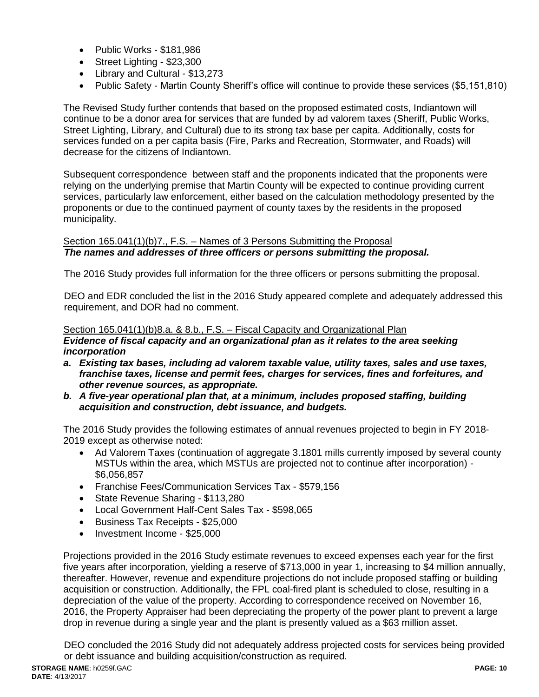- Public Works \$181,986
- Street Lighting \$23,300
- Library and Cultural \$13,273
- Public Safety Martin County Sheriff's office will continue to provide these services (\$5,151,810)

The Revised Study further contends that based on the proposed estimated costs, Indiantown will continue to be a donor area for services that are funded by ad valorem taxes (Sheriff, Public Works, Street Lighting, Library, and Cultural) due to its strong tax base per capita. Additionally, costs for services funded on a per capita basis (Fire, Parks and Recreation, Stormwater, and Roads) will decrease for the citizens of Indiantown.

Subsequent correspondence between staff and the proponents indicated that the proponents were relying on the underlying premise that Martin County will be expected to continue providing current services, particularly law enforcement, either based on the calculation methodology presented by the proponents or due to the continued payment of county taxes by the residents in the proposed municipality.

### Section 165.041(1)(b)7., F.S. – Names of 3 Persons Submitting the Proposal *The names and addresses of three officers or persons submitting the proposal.*

The 2016 Study provides full information for the three officers or persons submitting the proposal.

DEO and EDR concluded the list in the 2016 Study appeared complete and adequately addressed this requirement, and DOR had no comment.

# Section 165.041(1)(b)8.a. & 8.b., F.S. – Fiscal Capacity and Organizational Plan

### *Evidence of fiscal capacity and an organizational plan as it relates to the area seeking incorporation*

- *a. Existing tax bases, including ad valorem taxable value, utility taxes, sales and use taxes, franchise taxes, license and permit fees, charges for services, fines and forfeitures, and other revenue sources, as appropriate.*
- *b. A five-year operational plan that, at a minimum, includes proposed staffing, building acquisition and construction, debt issuance, and budgets.*

The 2016 Study provides the following estimates of annual revenues projected to begin in FY 2018- 2019 except as otherwise noted:

- Ad Valorem Taxes (continuation of aggregate 3.1801 mills currently imposed by several county MSTUs within the area, which MSTUs are projected not to continue after incorporation) - \$6,056,857
- Franchise Fees/Communication Services Tax \$579,156
- State Revenue Sharing \$113,280
- Local Government Half-Cent Sales Tax \$598,065
- Business Tax Receipts \$25,000
- Investment Income \$25,000

Projections provided in the 2016 Study estimate revenues to exceed expenses each year for the first five years after incorporation, yielding a reserve of \$713,000 in year 1, increasing to \$4 million annually, thereafter. However, revenue and expenditure projections do not include proposed staffing or building acquisition or construction. Additionally, the FPL coal-fired plant is scheduled to close, resulting in a depreciation of the value of the property. According to correspondence received on November 16, 2016, the Property Appraiser had been depreciating the property of the power plant to prevent a large drop in revenue during a single year and the plant is presently valued as a \$63 million asset.

DEO concluded the 2016 Study did not adequately address projected costs for services being provided or debt issuance and building acquisition/construction as required.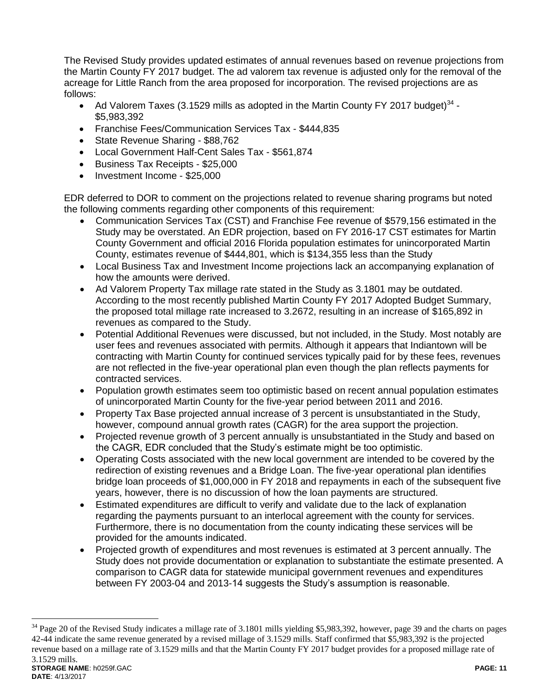The Revised Study provides updated estimates of annual revenues based on revenue projections from the Martin County FY 2017 budget. The ad valorem tax revenue is adjusted only for the removal of the acreage for Little Ranch from the area proposed for incorporation. The revised projections are as follows:

- Ad Valorem Taxes (3.1529 mills as adopted in the Martin County FY 2017 budget)<sup>34</sup> -\$5,983,392
- Franchise Fees/Communication Services Tax \$444,835
- State Revenue Sharing \$88,762
- Local Government Half-Cent Sales Tax \$561,874
- Business Tax Receipts \$25,000
- Investment Income \$25,000

 $\overline{a}$ 

EDR deferred to DOR to comment on the projections related to revenue sharing programs but noted the following comments regarding other components of this requirement:

- Communication Services Tax (CST) and Franchise Fee revenue of \$579,156 estimated in the Study may be overstated. An EDR projection, based on FY 2016-17 CST estimates for Martin County Government and official 2016 Florida population estimates for unincorporated Martin County, estimates revenue of \$444,801, which is \$134,355 less than the Study
- Local Business Tax and Investment Income projections lack an accompanying explanation of how the amounts were derived.
- Ad Valorem Property Tax millage rate stated in the Study as 3.1801 may be outdated. According to the most recently published Martin County FY 2017 Adopted Budget Summary, the proposed total millage rate increased to 3.2672, resulting in an increase of \$165,892 in revenues as compared to the Study.
- Potential Additional Revenues were discussed, but not included, in the Study. Most notably are user fees and revenues associated with permits. Although it appears that Indiantown will be contracting with Martin County for continued services typically paid for by these fees, revenues are not reflected in the five-year operational plan even though the plan reflects payments for contracted services.
- Population growth estimates seem too optimistic based on recent annual population estimates of unincorporated Martin County for the five-year period between 2011 and 2016.
- Property Tax Base projected annual increase of 3 percent is unsubstantiated in the Study, however, compound annual growth rates (CAGR) for the area support the projection.
- Projected revenue growth of 3 percent annually is unsubstantiated in the Study and based on the CAGR, EDR concluded that the Study's estimate might be too optimistic.
- Operating Costs associated with the new local government are intended to be covered by the redirection of existing revenues and a Bridge Loan. The five-year operational plan identifies bridge loan proceeds of \$1,000,000 in FY 2018 and repayments in each of the subsequent five years, however, there is no discussion of how the loan payments are structured.
- Estimated expenditures are difficult to verify and validate due to the lack of explanation regarding the payments pursuant to an interlocal agreement with the county for services. Furthermore, there is no documentation from the county indicating these services will be provided for the amounts indicated.
- Projected growth of expenditures and most revenues is estimated at 3 percent annually. The Study does not provide documentation or explanation to substantiate the estimate presented. A comparison to CAGR data for statewide municipal government revenues and expenditures between FY 2003-04 and 2013-14 suggests the Study's assumption is reasonable.

**STORAGE NAME**: h0259f.GAC **PAGE: 11 DATE**: 4/13/2017  $34$  Page 20 of the Revised Study indicates a millage rate of 3.1801 mills yielding \$5,983,392, however, page 39 and the charts on pages 42-44 indicate the same revenue generated by a revised millage of 3.1529 mills. Staff confirmed that \$5,983,392 is the projected revenue based on a millage rate of 3.1529 mills and that the Martin County FY 2017 budget provides for a proposed millage rate of 3.1529 mills.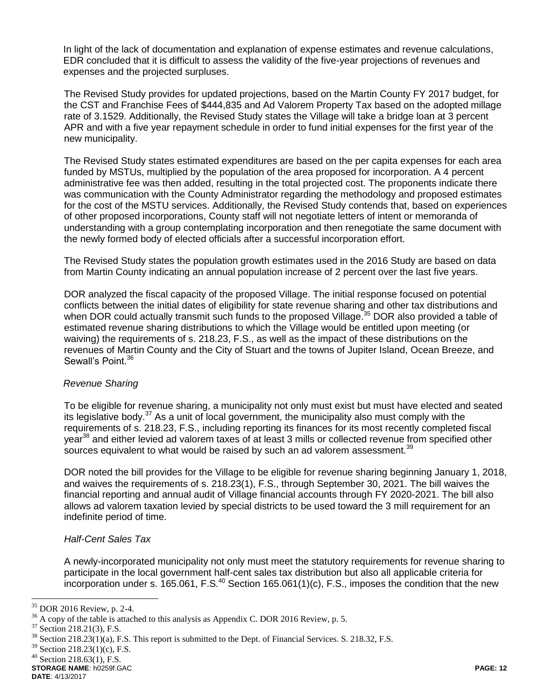In light of the lack of documentation and explanation of expense estimates and revenue calculations, EDR concluded that it is difficult to assess the validity of the five-year projections of revenues and expenses and the projected surpluses.

The Revised Study provides for updated projections, based on the Martin County FY 2017 budget, for the CST and Franchise Fees of \$444,835 and Ad Valorem Property Tax based on the adopted millage rate of 3.1529. Additionally, the Revised Study states the Village will take a bridge loan at 3 percent APR and with a five year repayment schedule in order to fund initial expenses for the first year of the new municipality.

The Revised Study states estimated expenditures are based on the per capita expenses for each area funded by MSTUs, multiplied by the population of the area proposed for incorporation. A 4 percent administrative fee was then added, resulting in the total projected cost. The proponents indicate there was communication with the County Administrator regarding the methodology and proposed estimates for the cost of the MSTU services. Additionally, the Revised Study contends that, based on experiences of other proposed incorporations, County staff will not negotiate letters of intent or memoranda of understanding with a group contemplating incorporation and then renegotiate the same document with the newly formed body of elected officials after a successful incorporation effort.

The Revised Study states the population growth estimates used in the 2016 Study are based on data from Martin County indicating an annual population increase of 2 percent over the last five years.

DOR analyzed the fiscal capacity of the proposed Village. The initial response focused on potential conflicts between the initial dates of eligibility for state revenue sharing and other tax distributions and when DOR could actually transmit such funds to the proposed Village.<sup>35</sup> DOR also provided a table of estimated revenue sharing distributions to which the Village would be entitled upon meeting (or waiving) the requirements of s. 218.23, F.S., as well as the impact of these distributions on the revenues of Martin County and the City of Stuart and the towns of Jupiter Island, Ocean Breeze, and Sewall's Point.<sup>36</sup>

#### *Revenue Sharing*

To be eligible for revenue sharing, a municipality not only must exist but must have elected and seated its legislative body.<sup>37</sup> As a unit of local government, the municipality also must comply with the requirements of s. 218.23, F.S., including reporting its finances for its most recently completed fiscal year<sup>38</sup> and either levied ad valorem taxes of at least 3 mills or collected revenue from specified other sources equivalent to what would be raised by such an ad valorem assessment. $39$ 

DOR noted the bill provides for the Village to be eligible for revenue sharing beginning January 1, 2018, and waives the requirements of s. 218.23(1), F.S., through September 30, 2021. The bill waives the financial reporting and annual audit of Village financial accounts through FY 2020-2021. The bill also allows ad valorem taxation levied by special districts to be used toward the 3 mill requirement for an indefinite period of time.

# *Half-Cent Sales Tax*

A newly-incorporated municipality not only must meet the statutory requirements for revenue sharing to participate in the local government half-cent sales tax distribution but also all applicable criteria for incorporation under s. 165.061, F.S. $^{40}$  Section 165.061(1)(c), F.S., imposes the condition that the new

<sup>35</sup> DOR 2016 Review, p. 2-4.

<sup>&</sup>lt;sup>36</sup> A copy of the table is attached to this analysis as Appendix C. DOR 2016 Review, p. 5.<br><sup>37</sup> Section 218 21(3) E S

Section 218.21(3), F.S.

<sup>&</sup>lt;sup>38</sup> Section 218.23(1)(a), F.S. This report is submitted to the Dept. of Financial Services. S. 218.32, F.S.

<sup>39</sup> Section 218.23(1)(c), F.S.

 $40$  Section 218.63(1), F.S.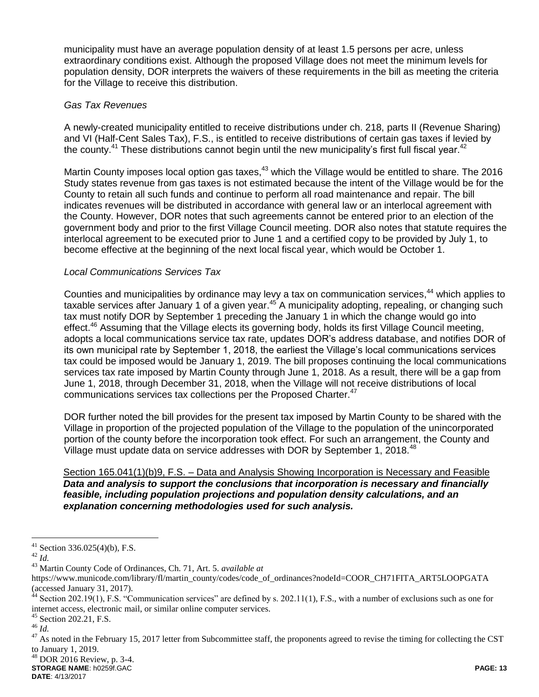municipality must have an average population density of at least 1.5 persons per acre, unless extraordinary conditions exist. Although the proposed Village does not meet the minimum levels for population density, DOR interprets the waivers of these requirements in the bill as meeting the criteria for the Village to receive this distribution.

# *Gas Tax Revenues*

A newly-created municipality entitled to receive distributions under ch. 218, parts II (Revenue Sharing) and VI (Half-Cent Sales Tax), F.S., is entitled to receive distributions of certain gas taxes if levied by the county.<sup>41</sup> These distributions cannot begin until the new municipality's first full fiscal year.<sup>42</sup>

Martin County imposes local option gas taxes,<sup>43</sup> which the Village would be entitled to share. The 2016 Study states revenue from gas taxes is not estimated because the intent of the Village would be for the County to retain all such funds and continue to perform all road maintenance and repair. The bill indicates revenues will be distributed in accordance with general law or an interlocal agreement with the County. However, DOR notes that such agreements cannot be entered prior to an election of the government body and prior to the first Village Council meeting. DOR also notes that statute requires the interlocal agreement to be executed prior to June 1 and a certified copy to be provided by July 1, to become effective at the beginning of the next local fiscal year, which would be October 1.

# *Local Communications Services Tax*

Counties and municipalities by ordinance may levy a tax on communication services, <sup>44</sup> which applies to taxable services after January 1 of a given year.<sup>45</sup> A municipality adopting, repealing, or changing such tax must notify DOR by September 1 preceding the January 1 in which the change would go into effect.<sup>46</sup> Assuming that the Village elects its governing body, holds its first Village Council meeting, adopts a local communications service tax rate, updates DOR's address database, and notifies DOR of its own municipal rate by September 1, 2018, the earliest the Village's local communications services tax could be imposed would be January 1, 2019. The bill proposes continuing the local communications services tax rate imposed by Martin County through June 1, 2018. As a result, there will be a gap from June 1, 2018, through December 31, 2018, when the Village will not receive distributions of local communications services tax collections per the Proposed Charter.<sup>47</sup>

DOR further noted the bill provides for the present tax imposed by Martin County to be shared with the Village in proportion of the projected population of the Village to the population of the unincorporated portion of the county before the incorporation took effect. For such an arrangement, the County and Village must update data on service addresses with DOR by September 1, 2018.<sup>48</sup>

### Section 165.041(1)(b)9, F.S. – Data and Analysis Showing Incorporation is Necessary and Feasible *Data and analysis to support the conclusions that incorporation is necessary and financially feasible, including population projections and population density calculations, and an explanation concerning methodologies used for such analysis.*

 $\overline{a}$ 

**STORAGE NAME**: h0259f.GAC **PAGE: 13**  $48$  DOR 2016 Review, p. 3-4.

 $41$  Section 336.025(4)(b), F.S.

<sup>42</sup> *Id.*

<sup>43</sup> Martin County Code of Ordinances, Ch. 71, Art. 5. *available at*

https://www.municode.com/library/fl/martin\_county/codes/code\_of\_ordinances?nodeId=COOR\_CH71FITA\_ART5LOOPGATA (accessed January 31, 2017).

 $44$  Section 202.19(1), F.S. "Communication services" are defined by s. 202.11(1), F.S., with a number of exclusions such as one for internet access, electronic mail, or similar online computer services.

 $45$  Section 202.21, F.S.

<sup>46</sup> *Id.*

 $47$  As noted in the February 15, 2017 letter from Subcommittee staff, the proponents agreed to revise the timing for collecting the CST to January 1, 2019.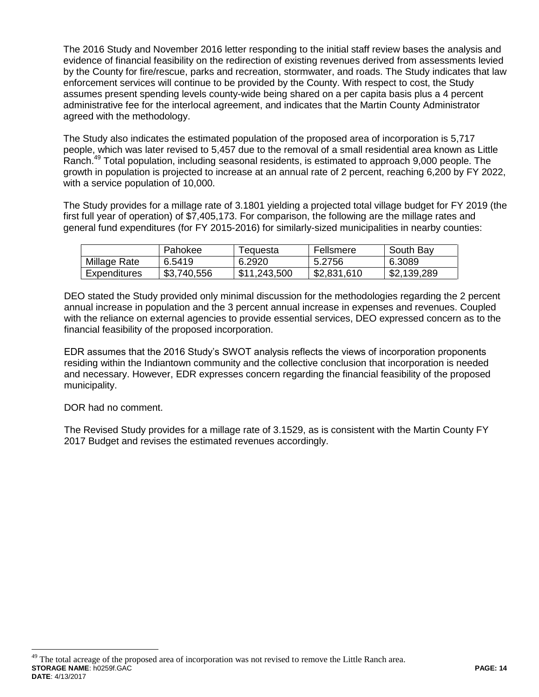The 2016 Study and November 2016 letter responding to the initial staff review bases the analysis and evidence of financial feasibility on the redirection of existing revenues derived from assessments levied by the County for fire/rescue, parks and recreation, stormwater, and roads. The Study indicates that law enforcement services will continue to be provided by the County. With respect to cost, the Study assumes present spending levels county-wide being shared on a per capita basis plus a 4 percent administrative fee for the interlocal agreement, and indicates that the Martin County Administrator agreed with the methodology.

The Study also indicates the estimated population of the proposed area of incorporation is 5,717 people, which was later revised to 5,457 due to the removal of a small residential area known as Little Ranch.<sup>49</sup> Total population, including seasonal residents, is estimated to approach 9,000 people. The growth in population is projected to increase at an annual rate of 2 percent, reaching 6,200 by FY 2022, with a service population of 10,000.

The Study provides for a millage rate of 3.1801 yielding a projected total village budget for FY 2019 (the first full year of operation) of \$7,405,173. For comparison, the following are the millage rates and general fund expenditures (for FY 2015-2016) for similarly-sized municipalities in nearby counties:

|              | Pahokee     | l equesta    | Fellsmere   | South Bay   |
|--------------|-------------|--------------|-------------|-------------|
| Millage Rate | 6.5419      | 6.2920       | 5.2756      | 6.3089      |
| Expenditures | \$3,740,556 | \$11,243,500 | \$2,831,610 | \$2,139,289 |

DEO stated the Study provided only minimal discussion for the methodologies regarding the 2 percent annual increase in population and the 3 percent annual increase in expenses and revenues. Coupled with the reliance on external agencies to provide essential services, DEO expressed concern as to the financial feasibility of the proposed incorporation.

EDR assumes that the 2016 Study's SWOT analysis reflects the views of incorporation proponents residing within the Indiantown community and the collective conclusion that incorporation is needed and necessary. However, EDR expresses concern regarding the financial feasibility of the proposed municipality.

DOR had no comment.

 $\overline{a}$ 

The Revised Study provides for a millage rate of 3.1529, as is consistent with the Martin County FY 2017 Budget and revises the estimated revenues accordingly.

**STORAGE NAME**: h0259f.GAC **PAGE: 14 DATE**: 4/13/2017 <sup>49</sup> The total acreage of the proposed area of incorporation was not revised to remove the Little Ranch area.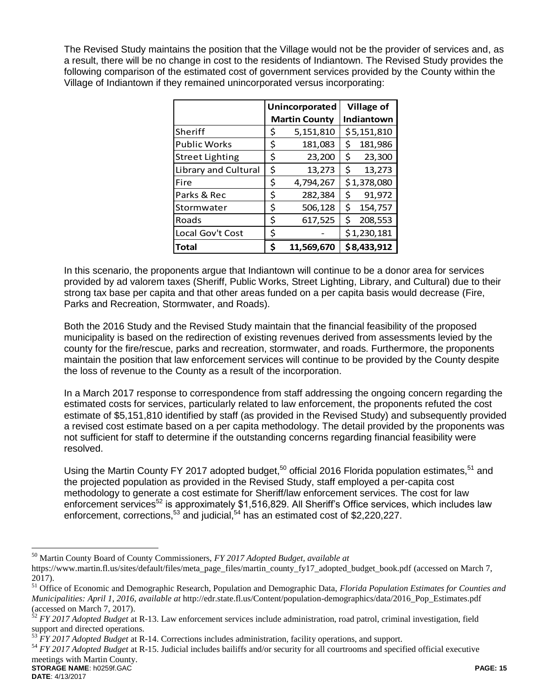The Revised Study maintains the position that the Village would not be the provider of services and, as a result, there will be no change in cost to the residents of Indiantown. The Revised Study provides the following comparison of the estimated cost of government services provided by the County within the Village of Indiantown if they remained unincorporated versus incorporating:

|                        | Unincorporated       | <b>Village of</b> |             |  |  |
|------------------------|----------------------|-------------------|-------------|--|--|
|                        | <b>Martin County</b> |                   | Indiantown  |  |  |
| Sheriff                | \$<br>5,151,810      |                   | \$5,151,810 |  |  |
| <b>Public Works</b>    | \$<br>181,083        | \$                | 181,986     |  |  |
| <b>Street Lighting</b> | \$<br>23,200         | \$                | 23,300      |  |  |
| Library and Cultural   | \$<br>13,273         | \$                | 13,273      |  |  |
| Fire                   | \$<br>4,794,267      |                   | \$1,378,080 |  |  |
| Parks & Rec            | \$<br>282,384        | \$                | 91,972      |  |  |
| Stormwater             | \$<br>506,128        | \$                | 154,757     |  |  |
| Roads                  | \$<br>617,525        | \$                | 208,553     |  |  |
| Local Gov't Cost       | \$                   |                   | \$1,230,181 |  |  |
| <b>Total</b>           | \$<br>11.569.670     |                   | \$8,433,912 |  |  |

In this scenario, the proponents argue that Indiantown will continue to be a donor area for services provided by ad valorem taxes (Sheriff, Public Works, Street Lighting, Library, and Cultural) due to their strong tax base per capita and that other areas funded on a per capita basis would decrease (Fire, Parks and Recreation, Stormwater, and Roads).

Both the 2016 Study and the Revised Study maintain that the financial feasibility of the proposed municipality is based on the redirection of existing revenues derived from assessments levied by the county for the fire/rescue, parks and recreation, stormwater, and roads. Furthermore, the proponents maintain the position that law enforcement services will continue to be provided by the County despite the loss of revenue to the County as a result of the incorporation.

In a March 2017 response to correspondence from staff addressing the ongoing concern regarding the estimated costs for services, particularly related to law enforcement, the proponents refuted the cost estimate of \$5,151,810 identified by staff (as provided in the Revised Study) and subsequently provided a revised cost estimate based on a per capita methodology. The detail provided by the proponents was not sufficient for staff to determine if the outstanding concerns regarding financial feasibility were resolved.

Using the Martin County FY 2017 adopted budget,<sup>50</sup> official 2016 Florida population estimates,<sup>51</sup> and the projected population as provided in the Revised Study, staff employed a per-capita cost methodology to generate a cost estimate for Sheriff/law enforcement services. The cost for law enforcement services<sup>52</sup> is approximately \$1,516,829. All Sheriff's Office services, which includes law enforcement, corrections, $^{53}$  and judicial, $^{54}$  has an estimated cost of \$2,220,227.

<sup>50</sup> Martin County Board of County Commissioners, *FY 2017 Adopted Budget, available at*

https://www.martin.fl.us/sites/default/files/meta\_page\_files/martin\_county\_fy17\_adopted\_budget\_book.pdf (accessed on March 7, 2017).

<sup>51</sup> Office of Economic and Demographic Research, Population and Demographic Data, *Florida Population Estimates for Counties and Municipalities: April 1, 2016, available at* http://edr.state.fl.us/Content/population-demographics/data/2016\_Pop\_Estimates.pdf (accessed on March 7, 2017).

<sup>52</sup> *FY 2017 Adopted Budget* at R-13. Law enforcement services include administration, road patrol, criminal investigation, field support and directed operations.

<sup>53</sup> *FY 2017 Adopted Budget* at R-14. Corrections includes administration, facility operations, and support.

**STORAGE NAME**: h0259f.GAC **PAGE: 15** <sup>54</sup> *FY 2017 Adopted Budget* at R-15. Judicial includes bailiffs and/or security for all courtrooms and specified official executive meetings with Martin County.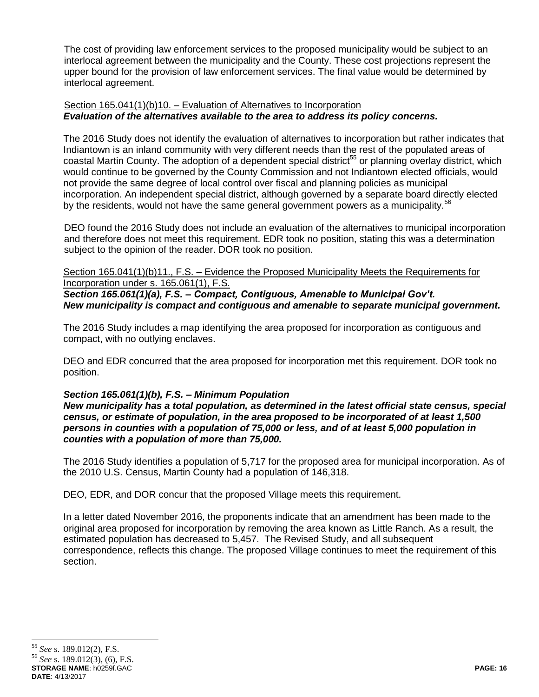The cost of providing law enforcement services to the proposed municipality would be subject to an interlocal agreement between the municipality and the County. These cost projections represent the upper bound for the provision of law enforcement services. The final value would be determined by interlocal agreement.

# Section 165.041(1)(b)10. – Evaluation of Alternatives to Incorporation *Evaluation of the alternatives available to the area to address its policy concerns.*

The 2016 Study does not identify the evaluation of alternatives to incorporation but rather indicates that Indiantown is an inland community with very different needs than the rest of the populated areas of coastal Martin County. The adoption of a dependent special district<sup>55</sup> or planning overlay district, which would continue to be governed by the County Commission and not Indiantown elected officials, would not provide the same degree of local control over fiscal and planning policies as municipal incorporation. An independent special district, although governed by a separate board directly elected by the residents, would not have the same general government powers as a municipality.<sup>56</sup>

DEO found the 2016 Study does not include an evaluation of the alternatives to municipal incorporation and therefore does not meet this requirement. EDR took no position, stating this was a determination subject to the opinion of the reader. DOR took no position.

### Section 165.041(1)(b)11., F.S. – Evidence the Proposed Municipality Meets the Requirements for Incorporation under s. 165.061(1), F.S.

*Section 165.061(1)(a), F.S. – Compact, Contiguous, Amenable to Municipal Gov't. New municipality is compact and contiguous and amenable to separate municipal government.*

The 2016 Study includes a map identifying the area proposed for incorporation as contiguous and compact, with no outlying enclaves.

DEO and EDR concurred that the area proposed for incorporation met this requirement. DOR took no position.

# *Section 165.061(1)(b), F.S. – Minimum Population*

*New municipality has a total population, as determined in the latest official state census, special census, or estimate of population, in the area proposed to be incorporated of at least 1,500 persons in counties with a population of 75,000 or less, and of at least 5,000 population in counties with a population of more than 75,000.*

The 2016 Study identifies a population of 5,717 for the proposed area for municipal incorporation. As of the 2010 U.S. Census, Martin County had a population of 146,318.

DEO, EDR, and DOR concur that the proposed Village meets this requirement.

In a letter dated November 2016, the proponents indicate that an amendment has been made to the original area proposed for incorporation by removing the area known as Little Ranch. As a result, the estimated population has decreased to 5,457. The Revised Study, and all subsequent correspondence, reflects this change. The proposed Village continues to meet the requirement of this section.

<sup>55</sup> *See* s. 189.012(2), F.S.

**STORAGE NAME**: h0259f.GAC **PAGE: 16** <sup>56</sup> *See* s. 189.012(3), (6), F.S.

**DATE**: 4/13/2017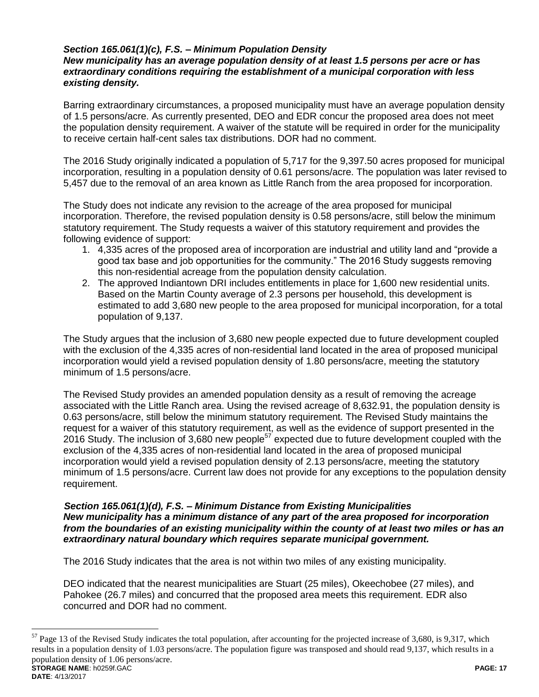# *Section 165.061(1)(c), F.S. – Minimum Population Density*

# *New municipality has an average population density of at least 1.5 persons per acre or has extraordinary conditions requiring the establishment of a municipal corporation with less existing density.*

Barring extraordinary circumstances, a proposed municipality must have an average population density of 1.5 persons/acre. As currently presented, DEO and EDR concur the proposed area does not meet the population density requirement. A waiver of the statute will be required in order for the municipality to receive certain half-cent sales tax distributions. DOR had no comment.

The 2016 Study originally indicated a population of 5,717 for the 9,397.50 acres proposed for municipal incorporation, resulting in a population density of 0.61 persons/acre. The population was later revised to 5,457 due to the removal of an area known as Little Ranch from the area proposed for incorporation.

The Study does not indicate any revision to the acreage of the area proposed for municipal incorporation. Therefore, the revised population density is 0.58 persons/acre, still below the minimum statutory requirement. The Study requests a waiver of this statutory requirement and provides the following evidence of support:

- 1. 4,335 acres of the proposed area of incorporation are industrial and utility land and "provide a good tax base and job opportunities for the community." The 2016 Study suggests removing this non-residential acreage from the population density calculation.
- 2. The approved Indiantown DRI includes entitlements in place for 1,600 new residential units. Based on the Martin County average of 2.3 persons per household, this development is estimated to add 3,680 new people to the area proposed for municipal incorporation, for a total population of 9,137.

The Study argues that the inclusion of 3,680 new people expected due to future development coupled with the exclusion of the 4,335 acres of non-residential land located in the area of proposed municipal incorporation would yield a revised population density of 1.80 persons/acre, meeting the statutory minimum of 1.5 persons/acre.

The Revised Study provides an amended population density as a result of removing the acreage associated with the Little Ranch area. Using the revised acreage of 8,632.91, the population density is 0.63 persons/acre, still below the minimum statutory requirement. The Revised Study maintains the request for a waiver of this statutory requirement, as well as the evidence of support presented in the 2016 Study. The inclusion of 3,680 new people<sup>57</sup> expected due to future development coupled with the exclusion of the 4,335 acres of non-residential land located in the area of proposed municipal incorporation would yield a revised population density of 2.13 persons/acre, meeting the statutory minimum of 1.5 persons/acre. Current law does not provide for any exceptions to the population density requirement.

#### *Section 165.061(1)(d), F.S. – Minimum Distance from Existing Municipalities New municipality has a minimum distance of any part of the area proposed for incorporation from the boundaries of an existing municipality within the county of at least two miles or has an extraordinary natural boundary which requires separate municipal government.*

The 2016 Study indicates that the area is not within two miles of any existing municipality.

 $\overline{a}$ 

DEO indicated that the nearest municipalities are Stuart (25 miles), Okeechobee (27 miles), and Pahokee (26.7 miles) and concurred that the proposed area meets this requirement. EDR also concurred and DOR had no comment.

**STORAGE NAME**: h0259f.GAC **PAGE: 17 DATE**: 4/13/2017  $57$  Page 13 of the Revised Study indicates the total population, after accounting for the projected increase of 3,680, is 9,317, which results in a population density of 1.03 persons/acre. The population figure was transposed and should read 9,137, which results in a population density of 1.06 persons/acre.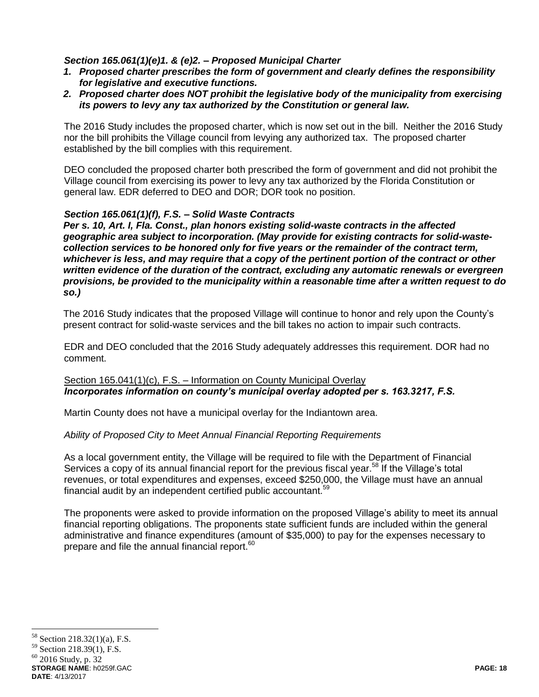# *Section 165.061(1)(e)1. & (e)2. – Proposed Municipal Charter*

- *1. Proposed charter prescribes the form of government and clearly defines the responsibility for legislative and executive functions.*
- *2. Proposed charter does NOT prohibit the legislative body of the municipality from exercising its powers to levy any tax authorized by the Constitution or general law.*

The 2016 Study includes the proposed charter, which is now set out in the bill. Neither the 2016 Study nor the bill prohibits the Village council from levying any authorized tax. The proposed charter established by the bill complies with this requirement.

DEO concluded the proposed charter both prescribed the form of government and did not prohibit the Village council from exercising its power to levy any tax authorized by the Florida Constitution or general law. EDR deferred to DEO and DOR; DOR took no position.

# *Section 165.061(1)(f), F.S. – Solid Waste Contracts*

*Per s. 10, Art. I, Fla. Const., plan honors existing solid-waste contracts in the affected geographic area subject to incorporation. (May provide for existing contracts for solid-wastecollection services to be honored only for five years or the remainder of the contract term, whichever is less, and may require that a copy of the pertinent portion of the contract or other written evidence of the duration of the contract, excluding any automatic renewals or evergreen provisions, be provided to the municipality within a reasonable time after a written request to do so.)*

The 2016 Study indicates that the proposed Village will continue to honor and rely upon the County's present contract for solid-waste services and the bill takes no action to impair such contracts.

EDR and DEO concluded that the 2016 Study adequately addresses this requirement. DOR had no comment.

### Section 165.041(1)(c), F.S. - Information on County Municipal Overlav *Incorporates information on county's municipal overlay adopted per s. 163.3217, F.S.*

Martin County does not have a municipal overlay for the Indiantown area.

# *Ability of Proposed City to Meet Annual Financial Reporting Requirements*

As a local government entity, the Village will be required to file with the Department of Financial Services a copy of its annual financial report for the previous fiscal year.<sup>58</sup> If the Village's total revenues, or total expenditures and expenses, exceed \$250,000, the Village must have an annual financial audit by an independent certified public accountant.<sup>59</sup>

The proponents were asked to provide information on the proposed Village's ability to meet its annual financial reporting obligations. The proponents state sufficient funds are included within the general administrative and finance expenditures (amount of \$35,000) to pay for the expenses necessary to prepare and file the annual financial report.<sup>60</sup>

<sup>58</sup> Section 218.32(1)(a), F.S.

<sup>59</sup> Section 218.39(1), F.S.

**STORAGE NAME**: h0259f.GAC **PAGE: 18**  $60$  2016 Study, p. 32

**DATE**: 4/13/2017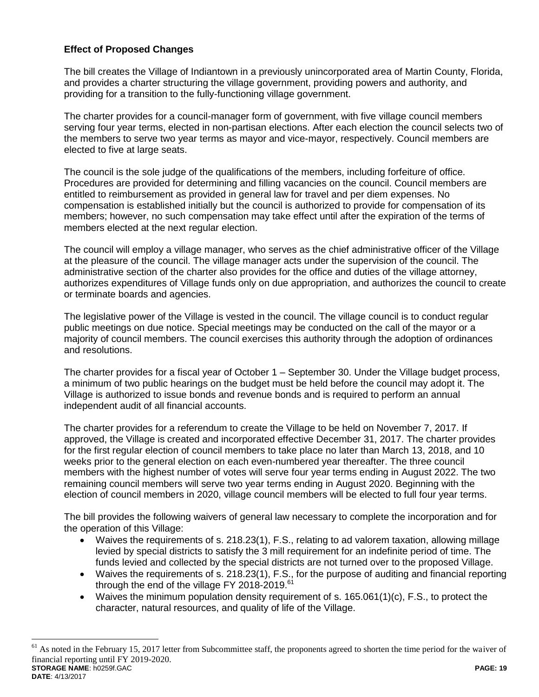# **Effect of Proposed Changes**

 $\overline{a}$ 

The bill creates the Village of Indiantown in a previously unincorporated area of Martin County, Florida, and provides a charter structuring the village government, providing powers and authority, and providing for a transition to the fully-functioning village government.

The charter provides for a council-manager form of government, with five village council members serving four year terms, elected in non-partisan elections. After each election the council selects two of the members to serve two year terms as mayor and vice-mayor, respectively. Council members are elected to five at large seats.

The council is the sole judge of the qualifications of the members, including forfeiture of office. Procedures are provided for determining and filling vacancies on the council. Council members are entitled to reimbursement as provided in general law for travel and per diem expenses. No compensation is established initially but the council is authorized to provide for compensation of its members; however, no such compensation may take effect until after the expiration of the terms of members elected at the next regular election.

The council will employ a village manager, who serves as the chief administrative officer of the Village at the pleasure of the council. The village manager acts under the supervision of the council. The administrative section of the charter also provides for the office and duties of the village attorney, authorizes expenditures of Village funds only on due appropriation, and authorizes the council to create or terminate boards and agencies.

The legislative power of the Village is vested in the council. The village council is to conduct regular public meetings on due notice. Special meetings may be conducted on the call of the mayor or a majority of council members. The council exercises this authority through the adoption of ordinances and resolutions.

The charter provides for a fiscal year of October 1 – September 30. Under the Village budget process, a minimum of two public hearings on the budget must be held before the council may adopt it. The Village is authorized to issue bonds and revenue bonds and is required to perform an annual independent audit of all financial accounts.

The charter provides for a referendum to create the Village to be held on November 7, 2017. If approved, the Village is created and incorporated effective December 31, 2017. The charter provides for the first regular election of council members to take place no later than March 13, 2018, and 10 weeks prior to the general election on each even-numbered year thereafter. The three council members with the highest number of votes will serve four year terms ending in August 2022. The two remaining council members will serve two year terms ending in August 2020. Beginning with the election of council members in 2020, village council members will be elected to full four year terms.

The bill provides the following waivers of general law necessary to complete the incorporation and for the operation of this Village:

- Waives the requirements of s. 218.23(1), F.S., relating to ad valorem taxation, allowing millage levied by special districts to satisfy the 3 mill requirement for an indefinite period of time. The funds levied and collected by the special districts are not turned over to the proposed Village.
- Waives the requirements of s. 218.23(1), F.S., for the purpose of auditing and financial reporting through the end of the village FY 2018-2019.<sup>61</sup>
- Waives the minimum population density requirement of s.  $165.061(1)(c)$ , F.S., to protect the character, natural resources, and quality of life of the Village.

**STORAGE NAME**: h0259f.GAC **PAGE: 19 DATE**: 4/13/2017  $61$  As noted in the February 15, 2017 letter from Subcommittee staff, the proponents agreed to shorten the time period for the waiver of financial reporting until FY 2019-2020.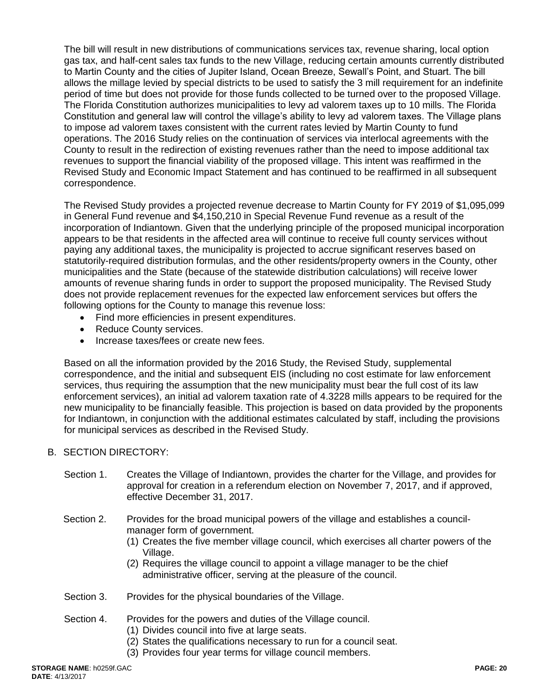The bill will result in new distributions of communications services tax, revenue sharing, local option gas tax, and half-cent sales tax funds to the new Village, reducing certain amounts currently distributed to Martin County and the cities of Jupiter Island, Ocean Breeze, Sewall's Point, and Stuart. The bill allows the millage levied by special districts to be used to satisfy the 3 mill requirement for an indefinite period of time but does not provide for those funds collected to be turned over to the proposed Village. The Florida Constitution authorizes municipalities to levy ad valorem taxes up to 10 mills. The Florida Constitution and general law will control the village's ability to levy ad valorem taxes. The Village plans to impose ad valorem taxes consistent with the current rates levied by Martin County to fund operations. The 2016 Study relies on the continuation of services via interlocal agreements with the County to result in the redirection of existing revenues rather than the need to impose additional tax revenues to support the financial viability of the proposed village. This intent was reaffirmed in the Revised Study and Economic Impact Statement and has continued to be reaffirmed in all subsequent correspondence.

The Revised Study provides a projected revenue decrease to Martin County for FY 2019 of \$1,095,099 in General Fund revenue and \$4,150,210 in Special Revenue Fund revenue as a result of the incorporation of Indiantown. Given that the underlying principle of the proposed municipal incorporation appears to be that residents in the affected area will continue to receive full county services without paying any additional taxes, the municipality is projected to accrue significant reserves based on statutorily-required distribution formulas, and the other residents/property owners in the County, other municipalities and the State (because of the statewide distribution calculations) will receive lower amounts of revenue sharing funds in order to support the proposed municipality. The Revised Study does not provide replacement revenues for the expected law enforcement services but offers the following options for the County to manage this revenue loss:

- Find more efficiencies in present expenditures.
- Reduce County services.
- Increase taxes/fees or create new fees.

Based on all the information provided by the 2016 Study, the Revised Study, supplemental correspondence, and the initial and subsequent EIS (including no cost estimate for law enforcement services, thus requiring the assumption that the new municipality must bear the full cost of its law enforcement services), an initial ad valorem taxation rate of 4.3228 mills appears to be required for the new municipality to be financially feasible. This projection is based on data provided by the proponents for Indiantown, in conjunction with the additional estimates calculated by staff, including the provisions for municipal services as described in the Revised Study.

# B. SECTION DIRECTORY:

- Section 1. Creates the Village of Indiantown, provides the charter for the Village, and provides for approval for creation in a referendum election on November 7, 2017, and if approved, effective December 31, 2017.
- Section 2. Provides for the broad municipal powers of the village and establishes a councilmanager form of government.
	- (1) Creates the five member village council, which exercises all charter powers of the Village.
	- (2) Requires the village council to appoint a village manager to be the chief administrative officer, serving at the pleasure of the council.
- Section 3. Provides for the physical boundaries of the Village.

#### Section 4. Provides for the powers and duties of the Village council.

- (1) Divides council into five at large seats.
- (2) States the qualifications necessary to run for a council seat.
- (3) Provides four year terms for village council members.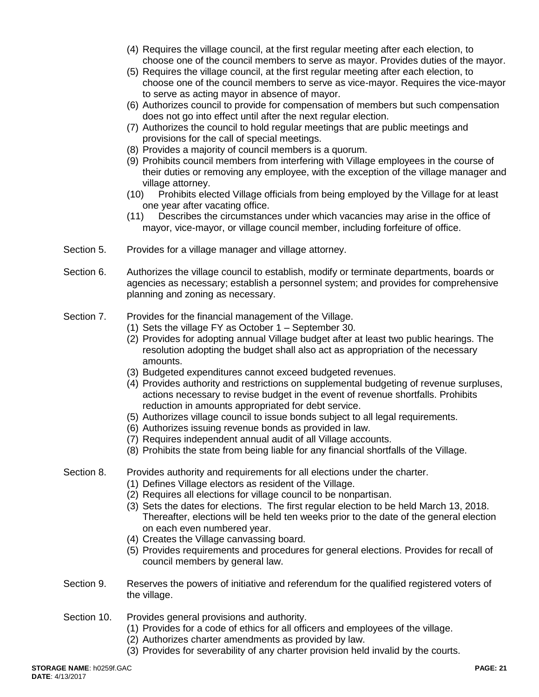- (4) Requires the village council, at the first regular meeting after each election, to choose one of the council members to serve as mayor. Provides duties of the mayor.
- (5) Requires the village council, at the first regular meeting after each election, to choose one of the council members to serve as vice-mayor. Requires the vice-mayor to serve as acting mayor in absence of mayor.
- (6) Authorizes council to provide for compensation of members but such compensation does not go into effect until after the next regular election.
- (7) Authorizes the council to hold regular meetings that are public meetings and provisions for the call of special meetings.
- (8) Provides a majority of council members is a quorum.
- (9) Prohibits council members from interfering with Village employees in the course of their duties or removing any employee, with the exception of the village manager and village attorney.
- (10) Prohibits elected Village officials from being employed by the Village for at least one year after vacating office.
- (11) Describes the circumstances under which vacancies may arise in the office of mayor, vice-mayor, or village council member, including forfeiture of office.
- Section 5. Provides for a village manager and village attorney.
- Section 6. Authorizes the village council to establish, modify or terminate departments, boards or agencies as necessary; establish a personnel system; and provides for comprehensive planning and zoning as necessary.
- Section 7. Provides for the financial management of the Village.
	- (1) Sets the village FY as October 1 September 30.
	- (2) Provides for adopting annual Village budget after at least two public hearings. The resolution adopting the budget shall also act as appropriation of the necessary amounts.
	- (3) Budgeted expenditures cannot exceed budgeted revenues.
	- (4) Provides authority and restrictions on supplemental budgeting of revenue surpluses, actions necessary to revise budget in the event of revenue shortfalls. Prohibits reduction in amounts appropriated for debt service.
	- (5) Authorizes village council to issue bonds subject to all legal requirements.
	- (6) Authorizes issuing revenue bonds as provided in law.
	- (7) Requires independent annual audit of all Village accounts.
	- (8) Prohibits the state from being liable for any financial shortfalls of the Village.
- Section 8. Provides authority and requirements for all elections under the charter.
	- (1) Defines Village electors as resident of the Village.
	- (2) Requires all elections for village council to be nonpartisan.
	- (3) Sets the dates for elections. The first regular election to be held March 13, 2018. Thereafter, elections will be held ten weeks prior to the date of the general election on each even numbered year.
	- (4) Creates the Village canvassing board.
	- (5) Provides requirements and procedures for general elections. Provides for recall of council members by general law.
- Section 9. Reserves the powers of initiative and referendum for the qualified registered voters of the village.
- Section 10. Provides general provisions and authority.
	- (1) Provides for a code of ethics for all officers and employees of the village.
	- (2) Authorizes charter amendments as provided by law.
	- (3) Provides for severability of any charter provision held invalid by the courts.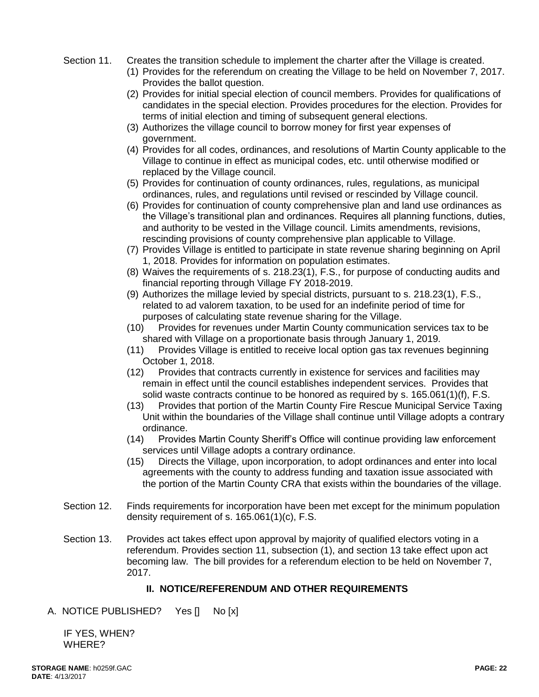- Section 11. Creates the transition schedule to implement the charter after the Village is created.
	- (1) Provides for the referendum on creating the Village to be held on November 7, 2017. Provides the ballot question.
	- (2) Provides for initial special election of council members. Provides for qualifications of candidates in the special election. Provides procedures for the election. Provides for terms of initial election and timing of subsequent general elections.
	- (3) Authorizes the village council to borrow money for first year expenses of government.
	- (4) Provides for all codes, ordinances, and resolutions of Martin County applicable to the Village to continue in effect as municipal codes, etc. until otherwise modified or replaced by the Village council.
	- (5) Provides for continuation of county ordinances, rules, regulations, as municipal ordinances, rules, and regulations until revised or rescinded by Village council.
	- (6) Provides for continuation of county comprehensive plan and land use ordinances as the Village's transitional plan and ordinances. Requires all planning functions, duties, and authority to be vested in the Village council. Limits amendments, revisions, rescinding provisions of county comprehensive plan applicable to Village.
	- (7) Provides Village is entitled to participate in state revenue sharing beginning on April 1, 2018. Provides for information on population estimates.
	- (8) Waives the requirements of s. 218.23(1), F.S., for purpose of conducting audits and financial reporting through Village FY 2018-2019.
	- (9) Authorizes the millage levied by special districts, pursuant to s. 218.23(1), F.S., related to ad valorem taxation, to be used for an indefinite period of time for purposes of calculating state revenue sharing for the Village.
	- (10) Provides for revenues under Martin County communication services tax to be shared with Village on a proportionate basis through January 1, 2019.
	- (11) Provides Village is entitled to receive local option gas tax revenues beginning October 1, 2018.
	- (12) Provides that contracts currently in existence for services and facilities may remain in effect until the council establishes independent services. Provides that solid waste contracts continue to be honored as required by s. 165.061(1)(f), F.S.
	- (13) Provides that portion of the Martin County Fire Rescue Municipal Service Taxing Unit within the boundaries of the Village shall continue until Village adopts a contrary ordinance.
	- (14) Provides Martin County Sheriff's Office will continue providing law enforcement services until Village adopts a contrary ordinance.
	- (15) Directs the Village, upon incorporation, to adopt ordinances and enter into local agreements with the county to address funding and taxation issue associated with the portion of the Martin County CRA that exists within the boundaries of the village.
- Section 12. Finds requirements for incorporation have been met except for the minimum population density requirement of s. 165.061(1)(c), F.S.
- Section 13. Provides act takes effect upon approval by majority of qualified electors voting in a referendum. Provides section 11, subsection (1), and section 13 take effect upon act becoming law. The bill provides for a referendum election to be held on November 7, 2017.

# **II. NOTICE/REFERENDUM AND OTHER REQUIREMENTS**

A. NOTICE PUBLISHED? Yes [] No [x]

 IF YES, WHEN? WHERE?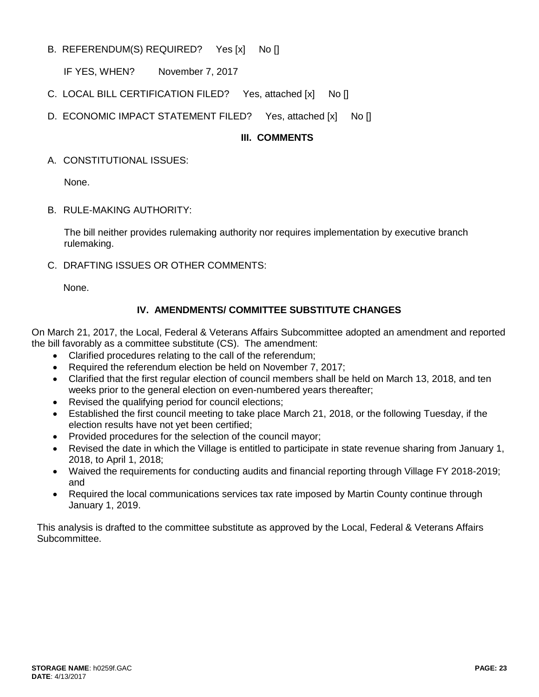B. REFERENDUM(S) REQUIRED? Yes [x] No []

IF YES, WHEN? November 7, 2017

- C. LOCAL BILL CERTIFICATION FILED? Yes, attached [x] No []
- D. ECONOMIC IMPACT STATEMENT FILED? Yes, attached [x] No []

# **III. COMMENTS**

A. CONSTITUTIONAL ISSUES:

None.

B. RULE-MAKING AUTHORITY:

The bill neither provides rulemaking authority nor requires implementation by executive branch rulemaking.

C. DRAFTING ISSUES OR OTHER COMMENTS:

None.

# **IV. AMENDMENTS/ COMMITTEE SUBSTITUTE CHANGES**

On March 21, 2017, the Local, Federal & Veterans Affairs Subcommittee adopted an amendment and reported the bill favorably as a committee substitute (CS). The amendment:

- Clarified procedures relating to the call of the referendum;
- Required the referendum election be held on November 7, 2017;
- Clarified that the first regular election of council members shall be held on March 13, 2018, and ten weeks prior to the general election on even-numbered years thereafter;
- Revised the qualifying period for council elections;
- Established the first council meeting to take place March 21, 2018, or the following Tuesday, if the election results have not yet been certified;
- Provided procedures for the selection of the council mayor;
- Revised the date in which the Village is entitled to participate in state revenue sharing from January 1, 2018, to April 1, 2018;
- Waived the requirements for conducting audits and financial reporting through Village FY 2018-2019; and
- Required the local communications services tax rate imposed by Martin County continue through January 1, 2019.

This analysis is drafted to the committee substitute as approved by the Local, Federal & Veterans Affairs Subcommittee.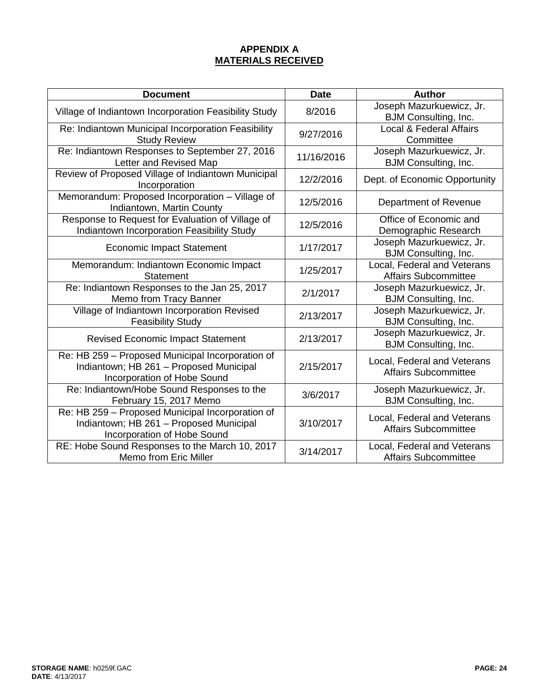# **APPENDIX A MATERIALS RECEIVED**

| <b>Document</b>                                                                                                                   | <b>Date</b> | <b>Author</b>                                              |
|-----------------------------------------------------------------------------------------------------------------------------------|-------------|------------------------------------------------------------|
| Village of Indiantown Incorporation Feasibility Study                                                                             | 8/2016      | Joseph Mazurkuewicz, Jr.<br><b>BJM Consulting, Inc.</b>    |
| Re: Indiantown Municipal Incorporation Feasibility<br><b>Study Review</b>                                                         | 9/27/2016   | <b>Local &amp; Federal Affairs</b><br>Committee            |
| Re: Indiantown Responses to September 27, 2016<br>Letter and Revised Map                                                          | 11/16/2016  | Joseph Mazurkuewicz, Jr.<br>BJM Consulting, Inc.           |
| Review of Proposed Village of Indiantown Municipal<br>Incorporation                                                               | 12/2/2016   | Dept. of Economic Opportunity                              |
| Memorandum: Proposed Incorporation - Village of<br>Indiantown, Martin County                                                      | 12/5/2016   | Department of Revenue                                      |
| Response to Request for Evaluation of Village of<br>Indiantown Incorporation Feasibility Study                                    | 12/5/2016   | Office of Economic and<br>Demographic Research             |
| <b>Economic Impact Statement</b>                                                                                                  | 1/17/2017   | Joseph Mazurkuewicz, Jr.<br><b>BJM Consulting, Inc.</b>    |
| Memorandum: Indiantown Economic Impact<br><b>Statement</b>                                                                        | 1/25/2017   | Local, Federal and Veterans<br><b>Affairs Subcommittee</b> |
| Re: Indiantown Responses to the Jan 25, 2017<br>Memo from Tracy Banner                                                            | 2/1/2017    | Joseph Mazurkuewicz, Jr.<br><b>BJM Consulting, Inc.</b>    |
| Village of Indiantown Incorporation Revised<br><b>Feasibility Study</b>                                                           | 2/13/2017   | Joseph Mazurkuewicz, Jr.<br><b>BJM Consulting, Inc.</b>    |
| <b>Revised Economic Impact Statement</b>                                                                                          | 2/13/2017   | Joseph Mazurkuewicz, Jr.<br>BJM Consulting, Inc.           |
| Re: HB 259 - Proposed Municipal Incorporation of<br>Indiantown; HB 261 - Proposed Municipal<br><b>Incorporation of Hobe Sound</b> | 2/15/2017   | Local, Federal and Veterans<br><b>Affairs Subcommittee</b> |
| Re: Indiantown/Hobe Sound Responses to the<br>February 15, 2017 Memo                                                              | 3/6/2017    | Joseph Mazurkuewicz, Jr.<br><b>BJM Consulting, Inc.</b>    |
| Re: HB 259 - Proposed Municipal Incorporation of<br>Indiantown; HB 261 - Proposed Municipal<br>Incorporation of Hobe Sound        | 3/10/2017   | Local, Federal and Veterans<br><b>Affairs Subcommittee</b> |
| RE: Hobe Sound Responses to the March 10, 2017<br><b>Memo from Eric Miller</b>                                                    | 3/14/2017   | Local, Federal and Veterans<br><b>Affairs Subcommittee</b> |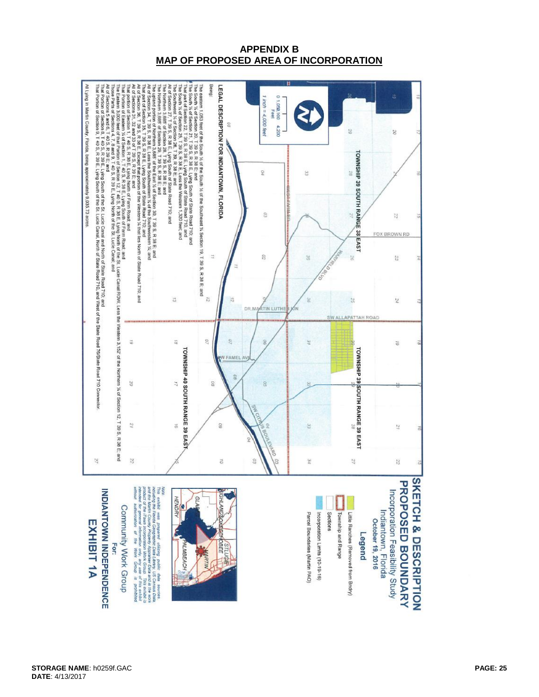### **APPENDIX B MAP OF PROPOSED AREA OF INCORPORATION**